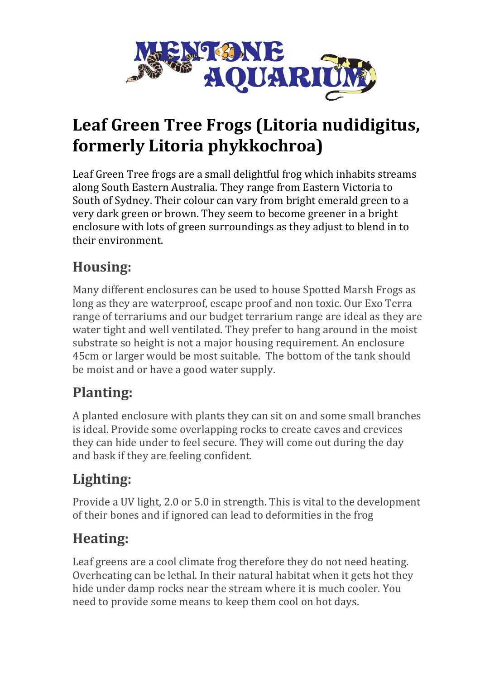

# Leaf Green Tree Frogs (Litoria nudidigitus, **formerly Litoria phykkochroa)**

Leaf Green Tree frogs are a small delightful frog which inhabits streams along South Eastern Australia. They range from Eastern Victoria to South of Sydney. Their colour can vary from bright emerald green to a very dark green or brown. They seem to become greener in a bright enclosure with lots of green surroundings as they adjust to blend in to their environment.

#### **Housing:**

Many different enclosures can be used to house Spotted Marsh Frogs as long as they are waterproof, escape proof and non toxic. Our Exo Terra range of terrariums and our budget terrarium range are ideal as they are water tight and well ventilated. They prefer to hang around in the moist substrate so height is not a major housing requirement. An enclosure 45cm or larger would be most suitable. The bottom of the tank should be moist and or have a good water supply.

### **Planting:**

A planted enclosure with plants they can sit on and some small branches is ideal. Provide some overlapping rocks to create caves and crevices they can hide under to feel secure. They will come out during the day and bask if they are feeling confident.

# **Lighting:**

Provide a UV light, 2.0 or 5.0 in strength. This is vital to the development of their bones and if ignored can lead to deformities in the frog

## **Heating:**

Leaf greens are a cool climate frog therefore they do not need heating. Overheating can be lethal. In their natural habitat when it gets hot they hide under damp rocks near the stream where it is much cooler. You need to provide some means to keep them cool on hot days.